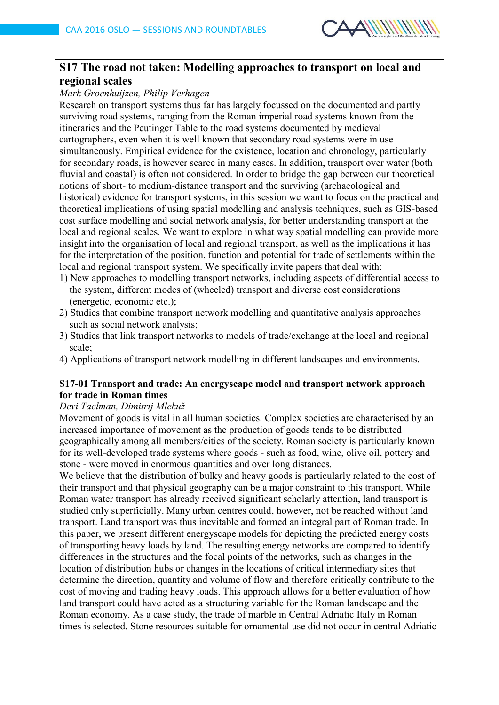

# **S17 The road not taken: Modelling approaches to transport on local and regional scales**

#### *Mark Groenhuijzen, Philip Verhagen*

Research on transport systems thus far has largely focussed on the documented and partly surviving road systems, ranging from the Roman imperial road systems known from the itineraries and the Peutinger Table to the road systems documented by medieval cartographers, even when it is well known that secondary road systems were in use simultaneously. Empirical evidence for the existence, location and chronology, particularly for secondary roads, is however scarce in many cases. In addition, transport over water (both fluvial and coastal) is often not considered. In order to bridge the gap between our theoretical notions of short- to medium-distance transport and the surviving (archaeological and historical) evidence for transport systems, in this session we want to focus on the practical and theoretical implications of using spatial modelling and analysis techniques, such as GIS-based cost surface modelling and social network analysis, for better understanding transport at the local and regional scales. We want to explore in what way spatial modelling can provide more insight into the organisation of local and regional transport, as well as the implications it has for the interpretation of the position, function and potential for trade of settlements within the local and regional transport system. We specifically invite papers that deal with:

- 1) New approaches to modelling transport networks, including aspects of differential access to the system, different modes of (wheeled) transport and diverse cost considerations (energetic, economic etc.);
- 2) Studies that combine transport network modelling and quantitative analysis approaches such as social network analysis;
- 3) Studies that link transport networks to models of trade/exchange at the local and regional scale;
- 4) Applications of transport network modelling in different landscapes and environments.

# **S17-01 Transport and trade: An energyscape model and transport network approach for trade in Roman times**

#### *Devi Taelman, Dimitrij Mlekuž*

Movement of goods is vital in all human societies. Complex societies are characterised by an increased importance of movement as the production of goods tends to be distributed geographically among all members/cities of the society. Roman society is particularly known for its well-developed trade systems where goods - such as food, wine, olive oil, pottery and stone - were moved in enormous quantities and over long distances.

We believe that the distribution of bulky and heavy goods is particularly related to the cost of their transport and that physical geography can be a major constraint to this transport. While Roman water transport has already received significant scholarly attention, land transport is studied only superficially. Many urban centres could, however, not be reached without land transport. Land transport was thus inevitable and formed an integral part of Roman trade. In this paper, we present different energyscape models for depicting the predicted energy costs of transporting heavy loads by land. The resulting energy networks are compared to identify differences in the structures and the focal points of the networks, such as changes in the location of distribution hubs or changes in the locations of critical intermediary sites that determine the direction, quantity and volume of flow and therefore critically contribute to the cost of moving and trading heavy loads. This approach allows for a better evaluation of how land transport could have acted as a structuring variable for the Roman landscape and the Roman economy. As a case study, the trade of marble in Central Adriatic Italy in Roman times is selected. Stone resources suitable for ornamental use did not occur in central Adriatic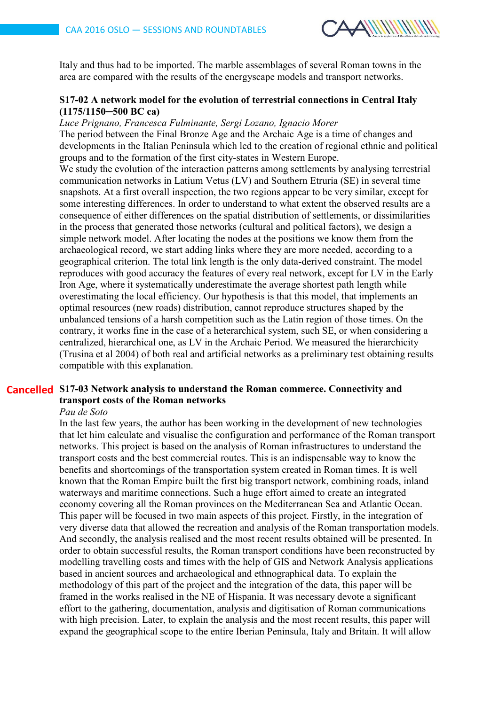

Italy and thus had to be imported. The marble assemblages of several Roman towns in the area are compared with the results of the energyscape models and transport networks.

#### **S17-02 A network model for the evolution of terrestrial connections in Central Italy (1175/1150─500 BC ca)**

*Luce Prignano, Francesca Fulminante, Sergi Lozano, Ignacio Morer* The period between the Final Bronze Age and the Archaic Age is a time of changes and developments in the Italian Peninsula which led to the creation of regional ethnic and political

groups and to the formation of the first city-states in Western Europe. We study the evolution of the interaction patterns among settlements by analysing terrestrial communication networks in Latium Vetus (LV) and Southern Etruria (SE) in several time snapshots. At a first overall inspection, the two regions appear to be very similar, except for some interesting differences. In order to understand to what extent the observed results are a consequence of either differences on the spatial distribution of settlements, or dissimilarities in the process that generated those networks (cultural and political factors), we design a simple network model. After locating the nodes at the positions we know them from the archaeological record, we start adding links where they are more needed, according to a geographical criterion. The total link length is the only data-derived constraint. The model reproduces with good accuracy the features of every real network, except for LV in the Early Iron Age, where it systematically underestimate the average shortest path length while overestimating the local efficiency. Our hypothesis is that this model, that implements an optimal resources (new roads) distribution, cannot reproduce structures shaped by the unbalanced tensions of a harsh competition such as the Latin region of those times. On the contrary, it works fine in the case of a heterarchical system, such SE, or when considering a centralized, hierarchical one, as LV in the Archaic Period. We measured the hierarchicity (Trusina et al 2004) of both real and artificial networks as a preliminary test obtaining results compatible with this explanation.

# **S17-03 Network analysis to understand the Roman commerce. Connectivity and Cancelledtransport costs of the Roman networks**

#### *Pau de Soto*

In the last few years, the author has been working in the development of new technologies that let him calculate and visualise the configuration and performance of the Roman transport networks. This project is based on the analysis of Roman infrastructures to understand the transport costs and the best commercial routes. This is an indispensable way to know the benefits and shortcomings of the transportation system created in Roman times. It is well known that the Roman Empire built the first big transport network, combining roads, inland waterways and maritime connections. Such a huge effort aimed to create an integrated economy covering all the Roman provinces on the Mediterranean Sea and Atlantic Ocean. This paper will be focused in two main aspects of this project. Firstly, in the integration of very diverse data that allowed the recreation and analysis of the Roman transportation models. And secondly, the analysis realised and the most recent results obtained will be presented. In order to obtain successful results, the Roman transport conditions have been reconstructed by modelling travelling costs and times with the help of GIS and Network Analysis applications based in ancient sources and archaeological and ethnographical data. To explain the methodology of this part of the project and the integration of the data, this paper will be framed in the works realised in the NE of Hispania. It was necessary devote a significant effort to the gathering, documentation, analysis and digitisation of Roman communications with high precision. Later, to explain the analysis and the most recent results, this paper will expand the geographical scope to the entire Iberian Peninsula, Italy and Britain. It will allow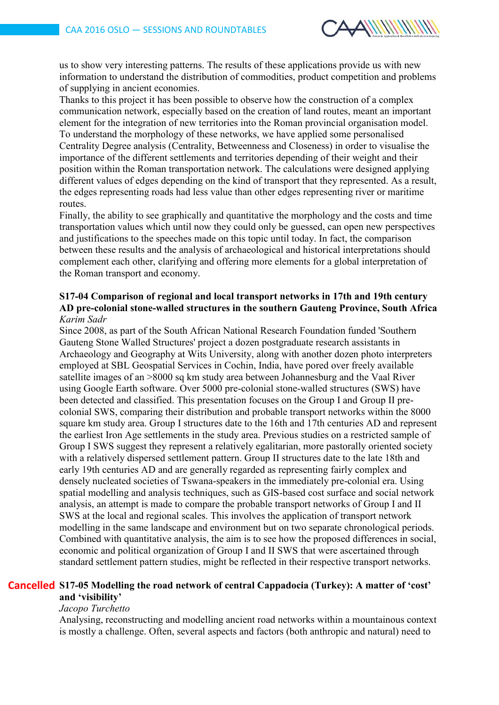

us to show very interesting patterns. The results of these applications provide us with new information to understand the distribution of commodities, product competition and problems of supplying in ancient economies.

Thanks to this project it has been possible to observe how the construction of a complex communication network, especially based on the creation of land routes, meant an important element for the integration of new territories into the Roman provincial organisation model. To understand the morphology of these networks, we have applied some personalised Centrality Degree analysis (Centrality, Betweenness and Closeness) in order to visualise the importance of the different settlements and territories depending of their weight and their position within the Roman transportation network. The calculations were designed applying different values of edges depending on the kind of transport that they represented. As a result, the edges representing roads had less value than other edges representing river or maritime routes.

Finally, the ability to see graphically and quantitative the morphology and the costs and time transportation values which until now they could only be guessed, can open new perspectives and justifications to the speeches made on this topic until today. In fact, the comparison between these results and the analysis of archaeological and historical interpretations should complement each other, clarifying and offering more elements for a global interpretation of the Roman transport and economy.

### **S17-04 Comparison of regional and local transport networks in 17th and 19th century AD pre-colonial stone-walled structures in the southern Gauteng Province, South Africa** *Karim Sadr*

Since 2008, as part of the South African National Research Foundation funded 'Southern Gauteng Stone Walled Structures' project a dozen postgraduate research assistants in Archaeology and Geography at Wits University, along with another dozen photo interpreters employed at SBL Geospatial Services in Cochin, India, have pored over freely available satellite images of an >8000 sq km study area between Johannesburg and the Vaal River using Google Earth software. Over 5000 pre-colonial stone-walled structures (SWS) have been detected and classified. This presentation focuses on the Group I and Group II precolonial SWS, comparing their distribution and probable transport networks within the 8000 square km study area. Group I structures date to the 16th and 17th centuries AD and represent the earliest Iron Age settlements in the study area. Previous studies on a restricted sample of Group I SWS suggest they represent a relatively egalitarian, more pastorally oriented society with a relatively dispersed settlement pattern. Group II structures date to the late 18th and early 19th centuries AD and are generally regarded as representing fairly complex and densely nucleated societies of Tswana-speakers in the immediately pre-colonial era. Using spatial modelling and analysis techniques, such as GIS-based cost surface and social network analysis, an attempt is made to compare the probable transport networks of Group I and II SWS at the local and regional scales. This involves the application of transport network modelling in the same landscape and environment but on two separate chronological periods. Combined with quantitative analysis, the aim is to see how the proposed differences in social, economic and political organization of Group I and II SWS that were ascertained through standard settlement pattern studies, might be reflected in their respective transport networks.

### **S17-05 Modelling the road network of central Cappadocia (Turkey): A matter of 'cost' Cancelledand 'visibility'**

# *Jacopo Turchetto*

Analysing, reconstructing and modelling ancient road networks within a mountainous context is mostly a challenge. Often, several aspects and factors (both anthropic and natural) need to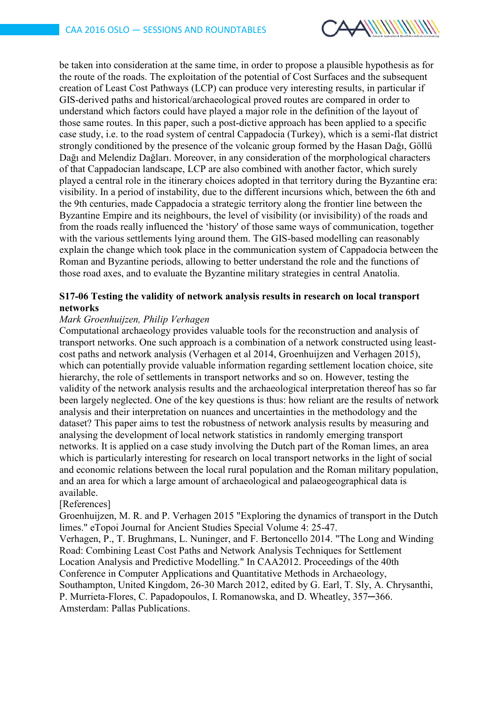

be taken into consideration at the same time, in order to propose a plausible hypothesis as for the route of the roads. The exploitation of the potential of Cost Surfaces and the subsequent creation of Least Cost Pathways (LCP) can produce very interesting results, in particular if GIS-derived paths and historical/archaeological proved routes are compared in order to understand which factors could have played a major role in the definition of the layout of those same routes. In this paper, such a post-dictive approach has been applied to a specific case study, i.e. to the road system of central Cappadocia (Turkey), which is a semi-flat district strongly conditioned by the presence of the volcanic group formed by the Hasan Dağı, Göllü Dağı and Melendiz Dağları. Moreover, in any consideration of the morphological characters of that Cappadocian landscape, LCP are also combined with another factor, which surely played a central role in the itinerary choices adopted in that territory during the Byzantine era: visibility. In a period of instability, due to the different incursions which, between the 6th and the 9th centuries, made Cappadocia a strategic territory along the frontier line between the Byzantine Empire and its neighbours, the level of visibility (or invisibility) of the roads and from the roads really influenced the 'history' of those same ways of communication, together with the various settlements lying around them. The GIS-based modelling can reasonably explain the change which took place in the communication system of Cappadocia between the Roman and Byzantine periods, allowing to better understand the role and the functions of those road axes, and to evaluate the Byzantine military strategies in central Anatolia.

### **S17-06 Testing the validity of network analysis results in research on local transport networks**

#### *Mark Groenhuijzen, Philip Verhagen*

Computational archaeology provides valuable tools for the reconstruction and analysis of transport networks. One such approach is a combination of a network constructed using leastcost paths and network analysis (Verhagen et al 2014, Groenhuijzen and Verhagen 2015), which can potentially provide valuable information regarding settlement location choice, site hierarchy, the role of settlements in transport networks and so on. However, testing the validity of the network analysis results and the archaeological interpretation thereof has so far been largely neglected. One of the key questions is thus: how reliant are the results of network analysis and their interpretation on nuances and uncertainties in the methodology and the dataset? This paper aims to test the robustness of network analysis results by measuring and analysing the development of local network statistics in randomly emerging transport networks. It is applied on a case study involving the Dutch part of the Roman limes, an area which is particularly interesting for research on local transport networks in the light of social and economic relations between the local rural population and the Roman military population, and an area for which a large amount of archaeological and palaeogeographical data is available.

#### [References]

Groenhuijzen, M. R. and P. Verhagen 2015 "Exploring the dynamics of transport in the Dutch limes." eTopoi Journal for Ancient Studies Special Volume 4: 25-47.

Verhagen, P., T. Brughmans, L. Nuninger, and F. Bertoncello 2014. "The Long and Winding Road: Combining Least Cost Paths and Network Analysis Techniques for Settlement Location Analysis and Predictive Modelling." In CAA2012. Proceedings of the 40th Conference in Computer Applications and Quantitative Methods in Archaeology, Southampton, United Kingdom, 26-30 March 2012, edited by G. Earl, T. Sly, A. Chrysanthi, P. Murrieta-Flores, C. Papadopoulos, I. Romanowska, and D. Wheatley, 357─366. Amsterdam: Pallas Publications.